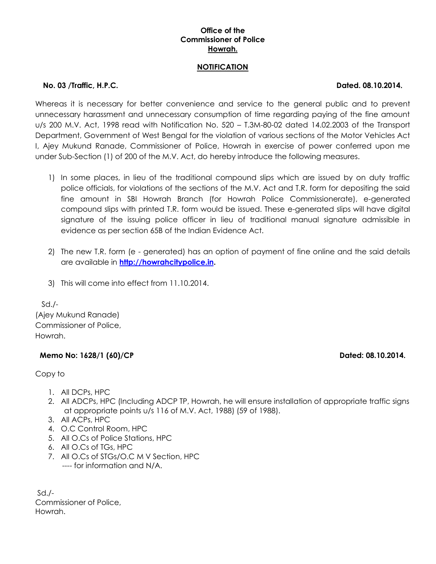# **Office of the Commissioner of Police Howrah.**

### **NOTIFICATION**

## **No. 03 /Traffic, H.P.C. Dated. 08.10.2014.**

Whereas it is necessary for better convenience and service to the general public and to prevent unnecessary harassment and unnecessary consumption of time regarding paying of the fine amount u/s 200 M.V. Act, 1998 read with Notification No. 520 – T.3M-80-02 dated 14.02.2003 of the Transport Department, Government of West Bengal for the violation of various sections of the Motor Vehicles Act I, Ajey Mukund Ranade, Commissioner of Police, Howrah in exercise of power conferred upon me under Sub-Section (1) of 200 of the M.V. Act, do hereby introduce the following measures.

- 1) In some places, in lieu of the traditional compound slips which are issued by on duty traffic police officials, for violations of the sections of the M.V. Act and T.R. form for depositing the said fine amount in SBI Howrah Branch (for Howrah Police Commissionerate), e-generated compound slips with printed T.R. form would be issued. These e-generated slips will have digital signature of the issuing police officer in lieu of traditional manual signature admissible in evidence as per section 65B of the Indian Evidence Act.
- 2) The new T.R. form (e generated) has an option of payment of fine online and the said details are available in **[http://howrahcitypolice.in.](http://howrahcitypolice.in/)**
- 3) This will come into effect from 11.10.2014.

Sd./- (Ajey Mukund Ranade) Commissioner of Police, Howrah.

# Memo No: 1628/1 (60)/CP Dated: 08.10.2014.

Copy to

- 1. All DCPs, HPC
- 2. All ADCPs, HPC (Including ADCP TP, Howrah, he will ensure installation of appropriate traffic signs at appropriate points u/s 116 of M.V. Act, 1988) (59 of 1988).
- 3. All ACPs, HPC
- 4. O.C Control Room, HPC
- 5. All O.Cs of Police Stations, HPC
- 6. All O.Cs of TGs, HPC
- 7. All O.Cs of STGs/O.C M V Section, HPC ---- for information and N/A.

 $Sd$ ./-Commissioner of Police, Howrah.